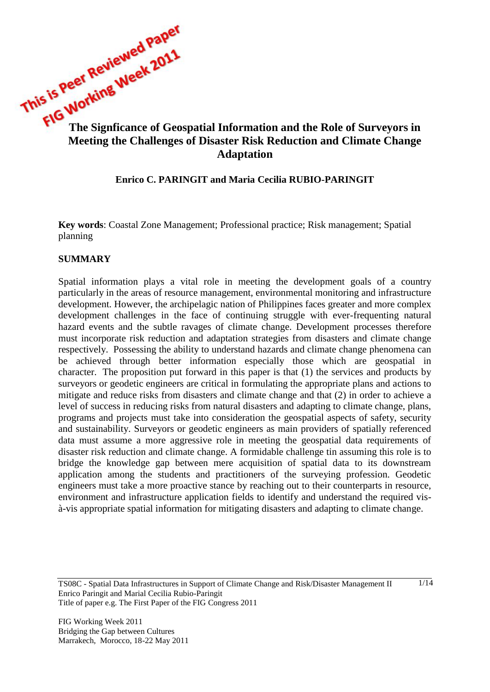This is very **information**<br>The Signficance of Geospatial Information and the Role of Surveyors in **Meeting the Challenges of Disaster Risk Reduction and Climate Change Adaptation**

## **Enrico C. PARINGIT and Maria Cecilia RUBIO-PARINGIT**

**Key words**: Coastal Zone Management; Professional practice; Risk management; Spatial planning

#### **SUMMARY**

Spatial information plays a vital role in meeting the development goals of a country particularly in the areas of resource management, environmental monitoring and infrastructure development. However, the archipelagic nation of Philippines faces greater and more complex development challenges in the face of continuing struggle with ever-frequenting natural hazard events and the subtle ravages of climate change. Development processes therefore must incorporate risk reduction and adaptation strategies from disasters and climate change respectively. Possessing the ability to understand hazards and climate change phenomena can be achieved through better information especially those which are geospatial in character. The proposition put forward in this paper is that (1) the services and products by surveyors or geodetic engineers are critical in formulating the appropriate plans and actions to mitigate and reduce risks from disasters and climate change and that (2) in order to achieve a level of success in reducing risks from natural disasters and adapting to climate change, plans, programs and projects must take into consideration the geospatial aspects of safety, security and sustainability. Surveyors or geodetic engineers as main providers of spatially referenced data must assume a more aggressive role in meeting the geospatial data requirements of disaster risk reduction and climate change. A formidable challenge tin assuming this role is to bridge the knowledge gap between mere acquisition of spatial data to its downstream application among the students and practitioners of the surveying profession. Geodetic engineers must take a more proactive stance by reaching out to their counterparts in resource, environment and infrastructure application fields to identify and understand the required visà-vis appropriate spatial information for mitigating disasters and adapting to climate change.

TS08C - Spatial Data Infrastructures in Support of Climate Change and Risk/Disaster Management II Enrico Paringit and Marial Cecilia Rubio-Paringit Title of paper e.g. The First Paper of the FIG Congress 2011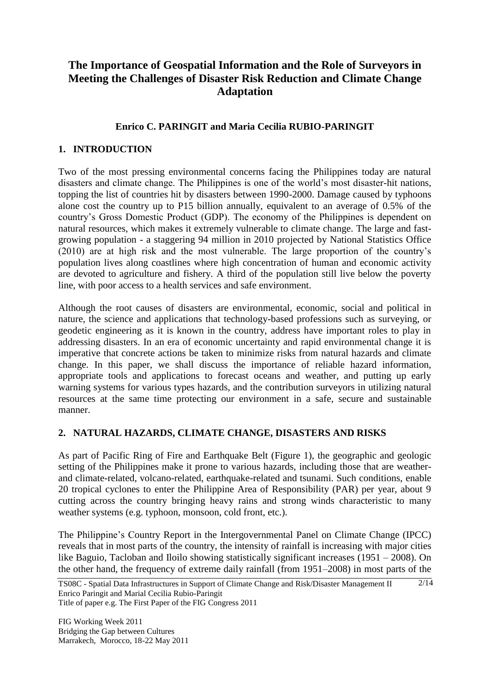# **The Importance of Geospatial Information and the Role of Surveyors in Meeting the Challenges of Disaster Risk Reduction and Climate Change Adaptation**

# **Enrico C. PARINGIT and Maria Cecilia RUBIO-PARINGIT**

# **1. INTRODUCTION**

Two of the most pressing environmental concerns facing the Philippines today are natural disasters and climate change. The Philippines is one of the world"s most disaster-hit nations, topping the list of countries hit by disasters between 1990-2000. Damage caused by typhoons alone cost the country up to P15 billion annually, equivalent to an average of 0.5% of the country"s Gross Domestic Product (GDP). The economy of the Philippines is dependent on natural resources, which makes it extremely vulnerable to climate change. The large and fastgrowing population - a staggering 94 million in 2010 projected by National Statistics Office (2010) are at high risk and the most vulnerable. The large proportion of the country"s population lives along coastlines where high concentration of human and economic activity are devoted to agriculture and fishery. A third of the population still live below the poverty line, with poor access to a health services and safe environment.

Although the root causes of disasters are environmental, economic, social and political in nature, the science and applications that technology-based professions such as surveying, or geodetic engineering as it is known in the country, address have important roles to play in addressing disasters. In an era of economic uncertainty and rapid environmental change it is imperative that concrete actions be taken to minimize risks from natural hazards and climate change. In this paper, we shall discuss the importance of reliable hazard information, appropriate tools and applications to forecast oceans and weather, and putting up early warning systems for various types hazards, and the contribution surveyors in utilizing natural resources at the same time protecting our environment in a safe, secure and sustainable manner.

## **2. NATURAL HAZARDS, CLIMATE CHANGE, DISASTERS AND RISKS**

As part of Pacific Ring of Fire and Earthquake Belt [\(Figure 1\)](#page-2-0), the geographic and geologic setting of the Philippines make it prone to various hazards, including those that are weatherand climate-related, volcano-related, earthquake-related and tsunami. Such conditions, enable 20 tropical cyclones to enter the Philippine Area of Responsibility (PAR) per year, about 9 cutting across the country bringing heavy rains and strong winds characteristic to many weather systems (e.g. typhoon, monsoon, cold front, etc.).

The Philippine"s Country Report in the Intergovernmental Panel on Climate Change (IPCC) reveals that in most parts of the country, the intensity of rainfall is increasing with major cities like Baguio, Tacloban and Iloilo showing statistically significant increases (1951 – 2008). On the other hand, the frequency of extreme daily rainfall (from 1951–2008) in most parts of the

2/14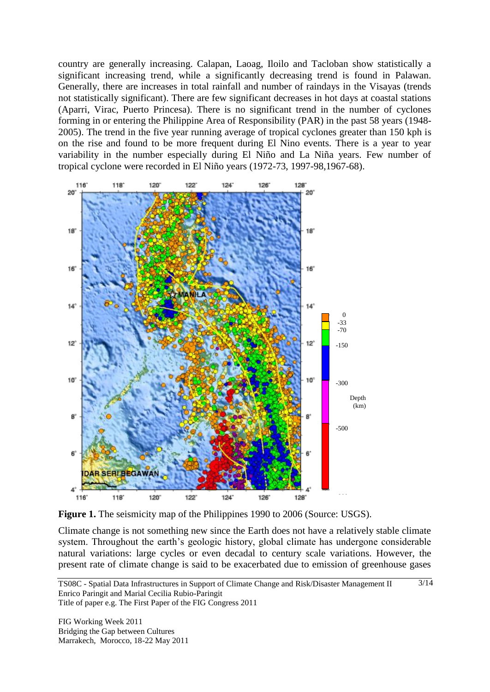country are generally increasing. Calapan, Laoag, Iloilo and Tacloban show statistically a significant increasing trend, while a significantly decreasing trend is found in Palawan. Generally, there are increases in total rainfall and number of raindays in the Visayas (trends not statistically significant). There are few significant decreases in hot days at coastal stations (Aparri, Virac, Puerto Princesa). There is no significant trend in the number of cyclones forming in or entering the Philippine Area of Responsibility (PAR) in the past 58 years (1948- 2005). The trend in the five year running average of tropical cyclones greater than 150 kph is on the rise and found to be more frequent during El Nino events. There is a year to year variability in the number especially during El Niño and La Niña years. Few number of tropical cyclone were recorded in El Niño years (1972-73, 1997-98,1967-68).



<span id="page-2-0"></span>Figure 1. The seismicity map of the Philippines 1990 to 2006 (Source: USGS).

Climate change is not something new since the Earth does not have a relatively stable climate system. Throughout the earth's geologic history, global climate has undergone considerable natural variations: large cycles or even decadal to century scale variations. However, the present rate of climate change is said to be exacerbated due to emission of greenhouse gases

 $\frac{3}{14}$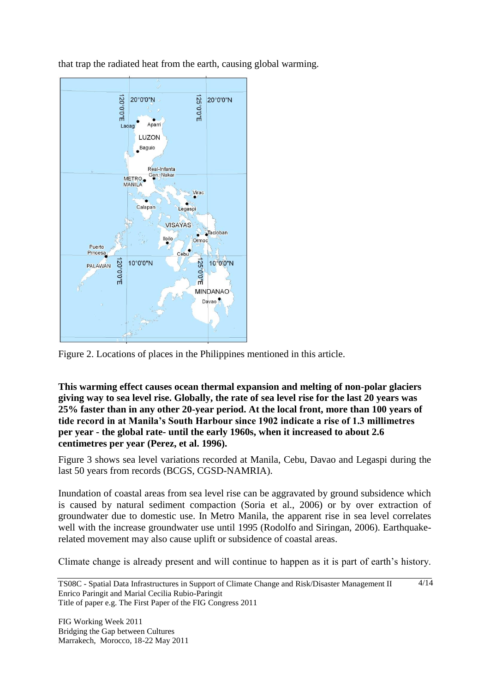that trap the radiated heat from the earth, causing global warming.



Figure 2. Locations of places in the Philippines mentioned in this article.

**This warming effect causes ocean thermal expansion and melting of non-polar glaciers giving way to sea level rise. Globally, the rate of sea level rise for the last 20 years was 25% faster than in any other 20-year period. At the local front, more than 100 years of tide record in at Manila's South Harbour since 1902 indicate a rise of 1.3 millimetres per year - the global rate- until the early [1960s, when it increased to about 2.6](#page-4-0)  centimetres per year (Perez, et al. 1996).** 

[Figure 3](#page-4-0) shows sea level variations recorded at Manila, Cebu, Davao and Legaspi during the last 50 years from records (BCGS, CGSD-NAMRIA).

Inundation of coastal areas from sea level rise can be aggravated by ground subsidence which is caused by natural sediment compaction (Soria et al., 2006) or by over extraction of groundwater due to domestic use. In Metro Manila, the apparent rise in sea level correlates well with the increase groundwater use until 1995 (Rodolfo and Siringan, 2006). Earthquakerelated movement may also cause uplift or subsidence of coastal areas.

Climate change is already present and will continue to happen as it is part of earth"s history.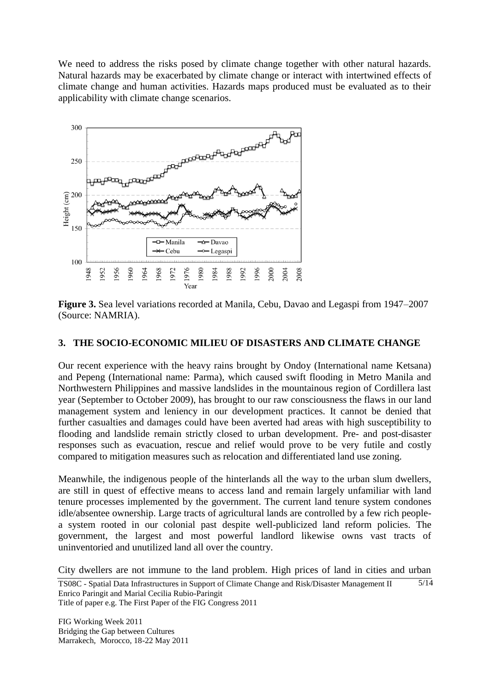We need to address the risks posed by climate change together with other natural hazards. Natural hazards may be exacerbated by climate change or interact with intertwined effects of climate change and human activities. Hazards maps produced must be evaluated as to their applicability with climate change scenarios.

<span id="page-4-0"></span>

**Figure 3.** Sea level variations recorded at Manila, Cebu, Davao and Legaspi from 1947–2007 (Source: NAMRIA).

#### **3. THE SOCIO-ECONOMIC MILIEU OF DISASTERS AND CLIMATE CHANGE**

Our recent experience with the heavy rains brought by Ondoy (International name Ketsana) and Pepeng (International name: Parma), which caused swift flooding in Metro Manila and Northwestern Philippines and massive landslides in the mountainous region of Cordillera last year (September to October 2009), has brought to our raw consciousness the flaws in our land management system and leniency in our development practices. It cannot be denied that further casualties and damages could have been averted had areas with high susceptibility to flooding and landslide remain strictly closed to urban development. Pre- and post-disaster responses such as evacuation, rescue and relief would prove to be very futile and costly compared to mitigation measures such as relocation and differentiated land use zoning.

Meanwhile, the indigenous people of the hinterlands all the way to the urban slum dwellers, are still in quest of effective means to access land and remain largely unfamiliar with land tenure processes implemented by the government. The current land tenure system condones idle/absentee ownership. Large tracts of agricultural lands are controlled by a few rich peoplea system rooted in our colonial past despite well-publicized land reform policies. The government, the largest and most powerful landlord likewise owns vast tracts of uninventoried and unutilized land all over the country.

City dwellers are not immune to the land problem. High prices of land in cities and urban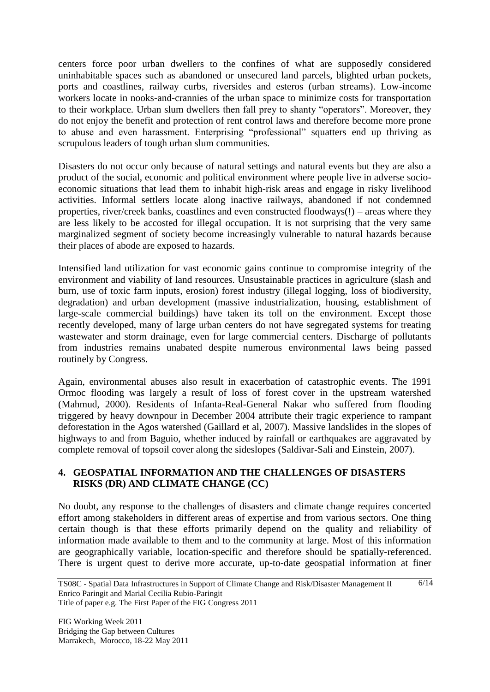centers force poor urban dwellers to the confines of what are supposedly considered uninhabitable spaces such as abandoned or unsecured land parcels, blighted urban pockets, ports and coastlines, railway curbs, riversides and esteros (urban streams). Low-income workers locate in nooks-and-crannies of the urban space to minimize costs for transportation to their workplace. Urban slum dwellers then fall prey to shanty "operators". Moreover, they do not enjoy the benefit and protection of rent control laws and therefore become more prone to abuse and even harassment. Enterprising "professional" squatters end up thriving as scrupulous leaders of tough urban slum communities.

Disasters do not occur only because of natural settings and natural events but they are also a product of the social, economic and political environment where people live in adverse socioeconomic situations that lead them to inhabit high-risk areas and engage in risky livelihood activities. Informal settlers locate along inactive railways, abandoned if not condemned properties, river/creek banks, coastlines and even constructed floodways(!) – areas where they are less likely to be accosted for illegal occupation. It is not surprising that the very same marginalized segment of society become increasingly vulnerable to natural hazards because their places of abode are exposed to hazards.

Intensified land utilization for vast economic gains continue to compromise integrity of the environment and viability of land resources. Unsustainable practices in agriculture (slash and burn, use of toxic farm inputs, erosion) forest industry (illegal logging, loss of biodiversity, degradation) and urban development (massive industrialization, housing, establishment of large-scale commercial buildings) have taken its toll on the environment. Except those recently developed, many of large urban centers do not have segregated systems for treating wastewater and storm drainage, even for large commercial centers. Discharge of pollutants from industries remains unabated despite numerous environmental laws being passed routinely by Congress.

Again, environmental abuses also result in exacerbation of catastrophic events. The 1991 Ormoc flooding was largely a result of loss of forest cover in the upstream watershed (Mahmud, 2000). Residents of Infanta-Real-General Nakar who suffered from flooding triggered by heavy downpour in December 2004 attribute their tragic experience to rampant deforestation in the Agos watershed (Gaillard et al, 2007). Massive landslides in the slopes of highways to and from Baguio, whether induced by rainfall or earthquakes are aggravated by complete removal of topsoil cover along the sideslopes (Saldivar-Sali and Einstein, 2007).

# **4. GEOSPATIAL INFORMATION AND THE CHALLENGES OF DISASTERS RISKS (DR) AND CLIMATE CHANGE (CC)**

No doubt, any response to the challenges of disasters and climate change requires concerted effort among stakeholders in different areas of expertise and from various sectors. One thing certain though is that these efforts primarily depend on the quality and reliability of information made available to them and to the community at large. Most of this information are geographically variable, location-specific and therefore should be spatially-referenced. There is urgent quest to derive more accurate, up-to-date geospatial information at finer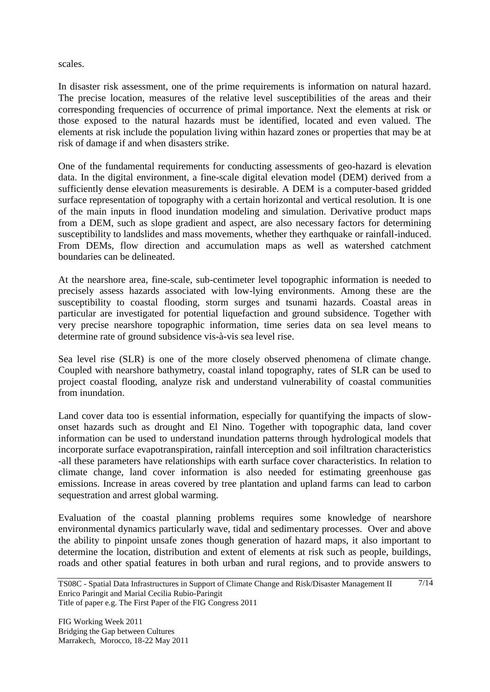scales.

In disaster risk assessment, one of the prime requirements is information on natural hazard. The precise location, measures of the relative level susceptibilities of the areas and their corresponding frequencies of occurrence of primal importance. Next the elements at risk or those exposed to the natural hazards must be identified, located and even valued. The elements at risk include the population living within hazard zones or properties that may be at risk of damage if and when disasters strike.

One of the fundamental requirements for conducting assessments of geo-hazard is elevation data. In the digital environment, a fine-scale digital elevation model (DEM) derived from a sufficiently dense elevation measurements is desirable. A DEM is a computer-based gridded surface representation of topography with a certain horizontal and vertical resolution. It is one of the main inputs in flood inundation modeling and simulation. Derivative product maps from a DEM, such as slope gradient and aspect, are also necessary factors for determining susceptibility to landslides and mass movements, whether they earthquake or rainfall-induced. From DEMs, flow direction and accumulation maps as well as watershed catchment boundaries can be delineated.

At the nearshore area, fine-scale, sub-centimeter level topographic information is needed to precisely assess hazards associated with low-lying environments. Among these are the susceptibility to coastal flooding, storm surges and tsunami hazards. Coastal areas in particular are investigated for potential liquefaction and ground subsidence. Together with very precise nearshore topographic information, time series data on sea level means to determine rate of ground subsidence vis-à-vis sea level rise.

Sea level rise (SLR) is one of the more closely observed phenomena of climate change. Coupled with nearshore bathymetry, coastal inland topography, rates of SLR can be used to project coastal flooding, analyze risk and understand vulnerability of coastal communities from inundation.

Land cover data too is essential information, especially for quantifying the impacts of slowonset hazards such as drought and El Nino. Together with topographic data, land cover information can be used to understand inundation patterns through hydrological models that incorporate surface evapotranspiration, rainfall interception and soil infiltration characteristics -all these parameters have relationships with earth surface cover characteristics. In relation to climate change, land cover information is also needed for estimating greenhouse gas emissions. Increase in areas covered by tree plantation and upland farms can lead to carbon sequestration and arrest global warming.

Evaluation of the coastal planning problems requires some knowledge of nearshore environmental dynamics particularly wave, tidal and sedimentary processes. Over and above the ability to pinpoint unsafe zones though generation of hazard maps, it also important to determine the location, distribution and extent of elements at risk such as people, buildings, roads and other spatial features in both urban and rural regions, and to provide answers to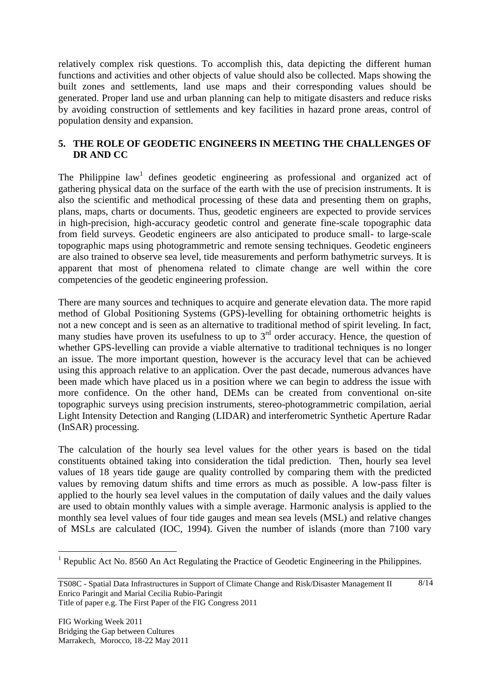relatively complex risk questions. To accomplish this, data depicting the different human functions and activities and other objects of value should also be collected. Maps showing the built zones and settlements, land use maps and their corresponding values should be generated. Proper land use and urban planning can help to mitigate disasters and reduce risks by avoiding construction of settlements and key facilities in hazard prone areas, control of population density and expansion.

## **5. THE ROLE OF GEODETIC ENGINEERS IN MEETING THE CHALLENGES OF DR AND CC**

The Philippine law<sup>1</sup> defines geodetic engineering as professional and organized act of gathering physical data on the surface of the earth with the use of precision instruments. It is also the scientific and methodical processing of these data and presenting them on graphs, plans, maps, charts or documents. Thus, geodetic engineers are expected to provide services in high-precision, high-accuracy geodetic control and generate fine-scale topographic data from field surveys. Geodetic engineers are also anticipated to produce small- to large-scale topographic maps using photogrammetric and remote sensing techniques. Geodetic engineers are also trained to observe sea level, tide measurements and perform bathymetric surveys. It is apparent that most of phenomena related to climate change are well within the core competencies of the geodetic engineering profession.

There are many sources and techniques to acquire and generate elevation data. The more rapid method of Global Positioning Systems (GPS)-levelling for obtaining orthometric heights is not a new concept and is seen as an alternative to traditional method of spirit leveling. In fact, many studies have proven its usefulness to up to  $3<sup>rd</sup>$  order accuracy. Hence, the question of whether GPS-levelling can provide a viable alternative to traditional techniques is no longer an issue. The more important question, however is the accuracy level that can be achieved using this approach relative to an application. Over the past decade, numerous advances have been made which have placed us in a position where we can begin to address the issue with more confidence. On the other hand, DEMs can be created from conventional on-site topographic surveys using precision instruments, stereo-photogrammetric compilation, aerial Light Intensity Detection and Ranging (LIDAR) and interferometric Synthetic Aperture Radar (InSAR) processing.

The calculation of the hourly sea level values for the other years is based on the tidal constituents obtained taking into consideration the tidal prediction. Then, hourly sea level values of 18 years tide gauge are quality controlled by comparing them with the predicted values by removing datum shifts and time errors as much as possible. A low-pass filter is applied to the hourly sea level values in the computation of daily values and the daily values are used to obtain monthly values with a simple average. Harmonic analysis is applied to the monthly sea level values of four tide gauges and mean sea levels (MSL) and relative changes of MSLs are calculated (IOC, 1994). Given the number of islands (more than 7100 vary

 $\overline{a}$ 

<sup>&</sup>lt;sup>1</sup> Republic Act No. 8560 An Act Regulating the Practice of Geodetic Engineering in the Philippines.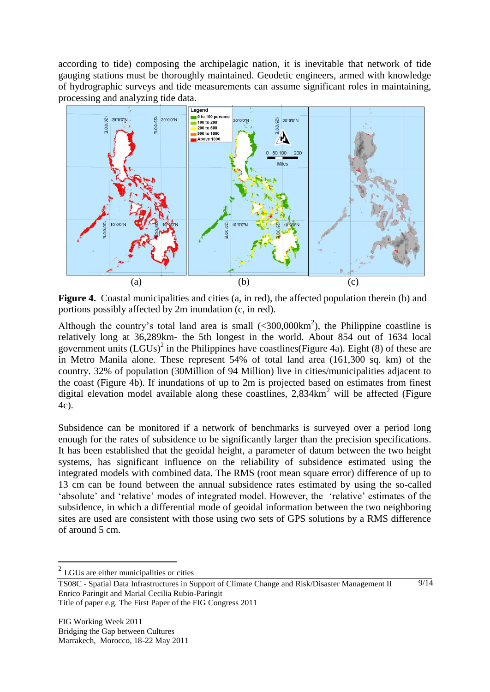according to tide) composing the archipelagic nation, it is inevitable that network of tide gauging stations must be thoroughly maintained. Geodetic engineers, armed with knowledge of hydrographic surveys and tide measurements can assume significant roles in maintaining, processing and analyzing tide data.



<span id="page-8-0"></span>Figure 4. Coastal municipalities and cities (a, in red), the affected population therein (b) and portions possibly affected by 2m inundation (c, in red).

Although the country's total land area is small  $( $300,000 \text{ km}^2$ ), the Philippe coastline is$ relatively long at 36,289km- the 5th longest in the world. About 854 out of 1634 local government units  $(LGUs)^2$  in the Philippines have coastlines [\(Figure 4a](#page-8-0)). Eight (8) of these are in Metro Manila alone. These represent 54% of total land area (161,300 sq. km) of the country. 32% of population (30Million of 94 Million) live in cities/municipalities adjacent to the coast [\(Figure 4b](#page-8-0)). If inundations of up to 2m is projected based on estimates from finest digital elevation model available along these coastlines,  $2.834 \text{km}^2$  will be affected (Figure [4c](#page-8-0)).

Subsidence can be monitored if a network of benchmarks is surveyed over a period long enough for the rates of subsidence to be significantly larger than the precision specifications. It has been established that the geoidal height, a parameter of datum between the two height systems, has significant influence on the reliability of subsidence estimated using the integrated models with combined data. The RMS (root mean square error) difference of up to 13 cm can be found between the annual subsidence rates estimated by using the so-called "absolute" and "relative" modes of integrated model. However, the "relative" estimates of the subsidence, in which a differential mode of geoidal information between the two neighboring sites are used are consistent with those using two sets of GPS solutions by a RMS difference of around 5 cm.

 $\overline{a}$ 

 $2^2$  LGUs are either municipalities or cities

TS08C - Spatial Data Infrastructures in Support of Climate Change and Risk/Disaster Management II Enrico Paringit and Marial Cecilia Rubio-Paringit Title of paper e.g. The First Paper of the FIG Congress 2011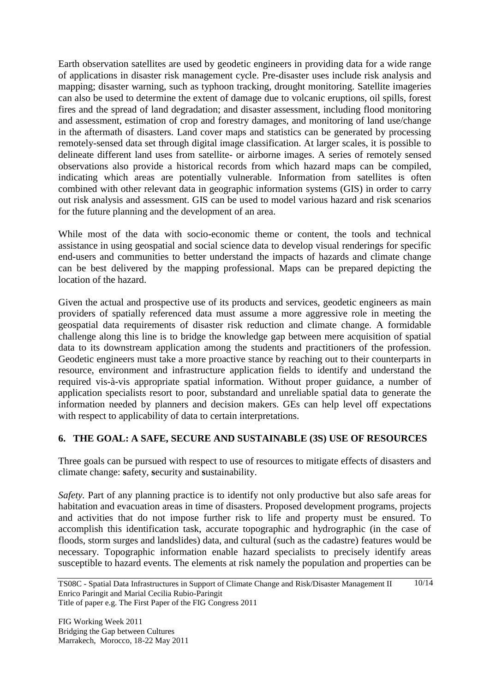Earth observation satellites are used by geodetic engineers in providing data for a wide range of applications in disaster risk management cycle. Pre-disaster uses include risk analysis and mapping; disaster warning, such as typhoon tracking, drought monitoring. Satellite imageries can also be used to determine the extent of damage due to volcanic eruptions, oil spills, forest fires and the spread of land degradation; and disaster assessment, including flood monitoring and assessment, estimation of crop and forestry damages, and monitoring of land use/change in the aftermath of disasters. Land cover maps and statistics can be generated by processing remotely-sensed data set through digital image classification. At larger scales, it is possible to delineate different land uses from satellite- or airborne images. A series of remotely sensed observations also provide a historical records from which hazard maps can be compiled, indicating which areas are potentially vulnerable. Information from satellites is often combined with other relevant data in geographic information systems (GIS) in order to carry out risk analysis and assessment. GIS can be used to model various hazard and risk scenarios for the future planning and the development of an area.

While most of the data with socio-economic theme or content, the tools and technical assistance in using geospatial and social science data to develop visual renderings for specific end-users and communities to better understand the impacts of hazards and climate change can be best delivered by the mapping professional. Maps can be prepared depicting the location of the hazard.

Given the actual and prospective use of its products and services, geodetic engineers as main providers of spatially referenced data must assume a more aggressive role in meeting the geospatial data requirements of disaster risk reduction and climate change. A formidable challenge along this line is to bridge the knowledge gap between mere acquisition of spatial data to its downstream application among the students and practitioners of the profession. Geodetic engineers must take a more proactive stance by reaching out to their counterparts in resource, environment and infrastructure application fields to identify and understand the required vis-à-vis appropriate spatial information. Without proper guidance, a number of application specialists resort to poor, substandard and unreliable spatial data to generate the information needed by planners and decision makers. GEs can help level off expectations with respect to applicability of data to certain interpretations.

## **6. THE GOAL: A SAFE, SECURE AND SUSTAINABLE (3S) USE OF RESOURCES**

Three goals can be pursued with respect to use of resources to mitigate effects of disasters and climate change: **s**afety, **s**ecurity and **s**ustainability.

*Safety.* Part of any planning practice is to identify not only productive but also safe areas for habitation and evacuation areas in time of disasters. Proposed development programs, projects and activities that do not impose further risk to life and property must be ensured. To accomplish this identification task, accurate topographic and hydrographic (in the case of floods, storm surges and landslides) data, and cultural (such as the cadastre) features would be necessary. Topographic information enable hazard specialists to precisely identify areas susceptible to hazard events. The elements at risk namely the population and properties can be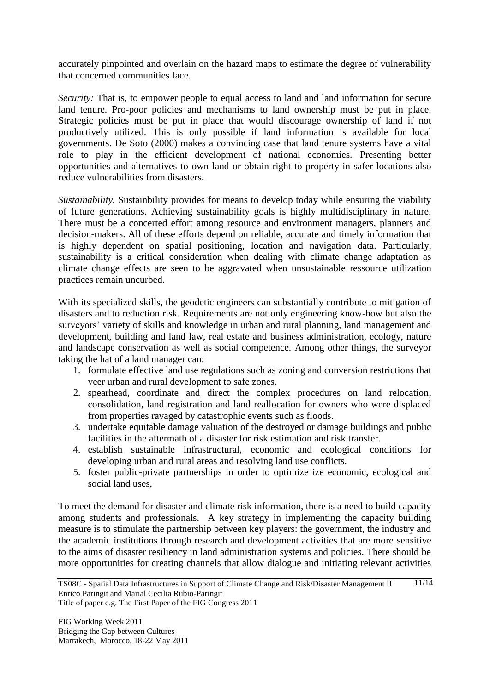accurately pinpointed and overlain on the hazard maps to estimate the degree of vulnerability that concerned communities face.

*Security:* That is, to empower people to equal access to land and land information for secure land tenure. Pro-poor policies and mechanisms to land ownership must be put in place. Strategic policies must be put in place that would discourage ownership of land if not productively utilized. This is only possible if land information is available for local governments. De Soto (2000) makes a convincing case that land tenure systems have a vital role to play in the efficient development of national economies. Presenting better opportunities and alternatives to own land or obtain right to property in safer locations also reduce vulnerabilities from disasters.

*Sustainability.* Sustainbility provides for means to develop today while ensuring the viability of future generations. Achieving sustainability goals is highly multidisciplinary in nature. There must be a concerted effort among resource and environment managers, planners and decision-makers. All of these efforts depend on reliable, accurate and timely information that is highly dependent on spatial positioning, location and navigation data. Particularly, sustainability is a critical consideration when dealing with climate change adaptation as climate change effects are seen to be aggravated when unsustainable ressource utilization practices remain uncurbed.

With its specialized skills, the geodetic engineers can substantially contribute to mitigation of disasters and to reduction risk. Requirements are not only engineering know-how but also the surveyors' variety of skills and knowledge in urban and rural planning, land management and development, building and land law, real estate and business administration, ecology, nature and landscape conservation as well as social competence. Among other things, the surveyor taking the hat of a land manager can:

- 1. formulate effective land use regulations such as zoning and conversion restrictions that veer urban and rural development to safe zones.
- 2. spearhead, coordinate and direct the complex procedures on land relocation, consolidation, land registration and land reallocation for owners who were displaced from properties ravaged by catastrophic events such as floods.
- 3. undertake equitable damage valuation of the destroyed or damage buildings and public facilities in the aftermath of a disaster for risk estimation and risk transfer.
- 4. establish sustainable infrastructural, economic and ecological conditions for developing urban and rural areas and resolving land use conflicts.
- 5. foster public-private partnerships in order to optimize ize economic, ecological and social land uses,

To meet the demand for disaster and climate risk information, there is a need to build capacity among students and professionals. A key strategy in implementing the capacity building measure is to stimulate the partnership between key players: the government, the industry and the academic institutions through research and development activities that are more sensitive to the aims of disaster resiliency in land administration systems and policies. There should be more opportunities for creating channels that allow dialogue and initiating relevant activities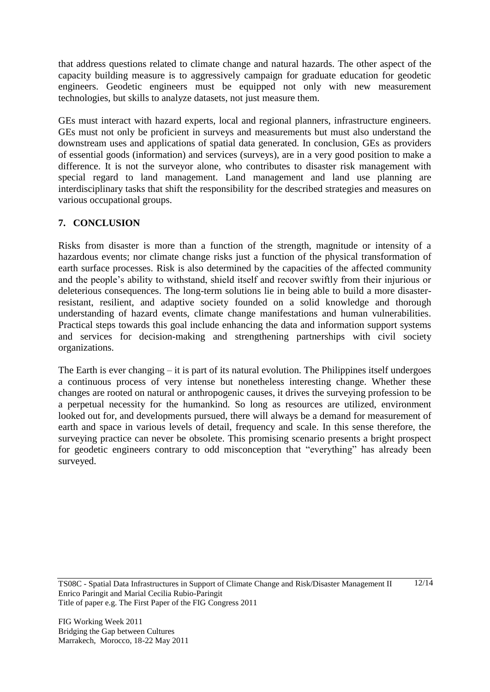that address questions related to climate change and natural hazards. The other aspect of the capacity building measure is to aggressively campaign for graduate education for geodetic engineers. Geodetic engineers must be equipped not only with new measurement technologies, but skills to analyze datasets, not just measure them.

GEs must interact with hazard experts, local and regional planners, infrastructure engineers. GEs must not only be proficient in surveys and measurements but must also understand the downstream uses and applications of spatial data generated. In conclusion, GEs as providers of essential goods (information) and services (surveys), are in a very good position to make a difference. It is not the surveyor alone, who contributes to disaster risk management with special regard to land management. Land management and land use planning are interdisciplinary tasks that shift the responsibility for the described strategies and measures on various occupational groups.

# **7. CONCLUSION**

Risks from disaster is more than a function of the strength, magnitude or intensity of a hazardous events; nor climate change risks just a function of the physical transformation of earth surface processes. Risk is also determined by the capacities of the affected community and the people"s ability to withstand, shield itself and recover swiftly from their injurious or deleterious consequences. The long-term solutions lie in being able to build a more disasterresistant, resilient, and adaptive society founded on a solid knowledge and thorough understanding of hazard events, climate change manifestations and human vulnerabilities. Practical steps towards this goal include enhancing the data and information support systems and services for decision-making and strengthening partnerships with civil society organizations.

The Earth is ever changing – it is part of its natural evolution. The Philippines itself undergoes a continuous process of very intense but nonetheless interesting change. Whether these changes are rooted on natural or anthropogenic causes, it drives the surveying profession to be a perpetual necessity for the humankind. So long as resources are utilized, environment looked out for, and developments pursued, there will always be a demand for measurement of earth and space in various levels of detail, frequency and scale. In this sense therefore, the surveying practice can never be obsolete. This promising scenario presents a bright prospect for geodetic engineers contrary to odd misconception that "everything" has already been surveyed.

TS08C - Spatial Data Infrastructures in Support of Climate Change and Risk/Disaster Management II Enrico Paringit and Marial Cecilia Rubio-Paringit Title of paper e.g. The First Paper of the FIG Congress 2011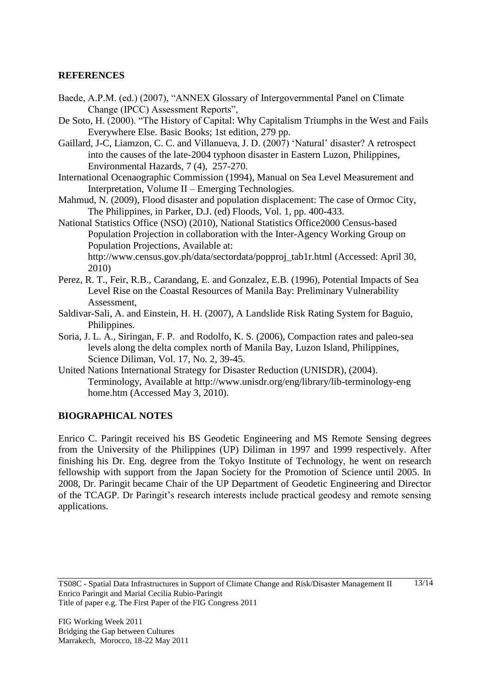# **REFERENCES**

- Baede, A.P.M. (ed.) (2007), "ANNEX Glossary of Intergovernmental Panel on Climate Change (IPCC) Assessment Reports",
- De Soto, H. (2000). "The History of Capital: Why Capitalism Triumphs in the West and Fails Everywhere Else. Basic Books; 1st edition, 279 pp.
- Gaillard, J-C, Liamzon, C. C. and Villanueva, J. D. (2007) "Natural" disaster? A retrospect into the causes of the late-2004 typhoon disaster in Eastern Luzon, Philippines, Environmental Hazards, 7 (4), 257-270.
- International Ocenaographic Commission (1994), Manual on Sea Level Measurement and Interpretation, Volume II – Emerging Technologies.
- Mahmud, N. (2009), Flood disaster and population displacement: The case of Ormoc City, The Philippines, in Parker, D.J. (ed) Floods, Vol. 1, pp. 400-433.
- National Statistics Office (NSO) (2010), National Statistics Office2000 Census-based Population Projection in collaboration with the Inter-Agency Working Group on Population Projections, Available at: http://www.census.gov.ph/data/sectordata/popproj\_tab1r.html (Accessed: April 30,

2010)

- Perez, R. T., Feir, R.B., Carandang, E. and Gonzalez, E.B. (1996), Potential Impacts of Sea Level Rise on the Coastal Resources of Manila Bay: Preliminary Vulnerability Assessment,
- Saldivar-Sali, A. and Einstein, H. H. (2007), A Landslide Risk Rating System for Baguio, Philippines.
- Soria, J. L. A., Siringan, F. P. and Rodolfo, K. S. (2006), Compaction rates and paleo-sea levels along the delta complex north of Manila Bay, Luzon Island, Philippines, Science Diliman, Vol. 17, No. 2, 39-45.
- United Nations International Strategy for Disaster Reduction (UNISDR), (2004). Terminology, Available at http://www.unisdr.org/eng/library/lib-terminology-eng home.htm (Accessed May 3, 2010).

## **BIOGRAPHICAL NOTES**

Enrico C. Paringit received his BS Geodetic Engineering and MS Remote Sensing degrees from the University of the Philippines (UP) Diliman in 1997 and 1999 respectively. After finishing his Dr. Eng. degree from the Tokyo Institute of Technology, he went on research fellowship with support from the Japan Society for the Promotion of Science until 2005. In 2008, Dr. Paringit became Chair of the UP Department of Geodetic Engineering and Director of the TCAGP. Dr Paringit"s research interests include practical geodesy and remote sensing applications.

13/14